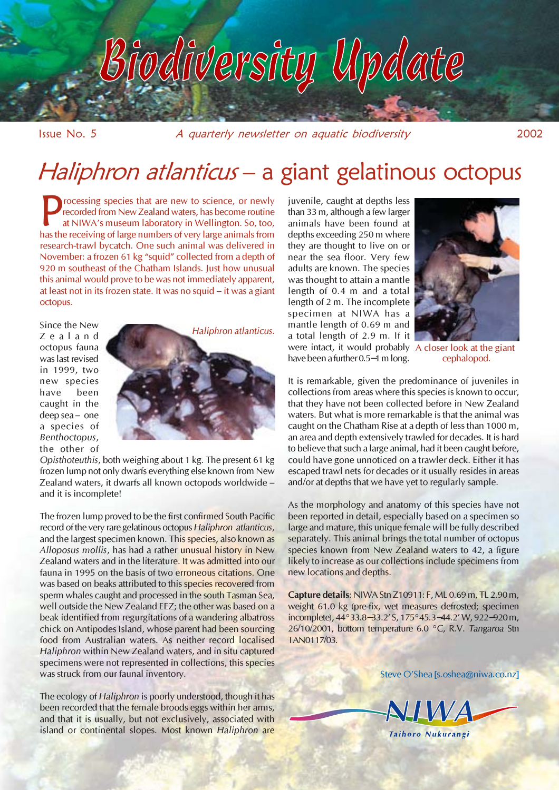# odiversity Update

Issue No. 5 A quarterly newsletter on aquatic biodiversity 2002

## Haliphron atlanticus - a giant gelatinous octopus

rocessing species that are new to science, or newly recorded from New Zealand waters, has become routine at NIWA's museum laboratory in Wellington. So, too, has the receiving of large numbers of very large animals from research-trawl bycatch. One such animal was delivered in November: a frozen 61 kg "squid" collected from a depth of 920 m southeast of the Chatham Islands. Just how unusual this animal would prove to be was not immediately apparent, at least not in its frozen state. It was no squid – it was a giant octopus.

Zealand octopus fauna was last revised in 1999, two new species have been caught in the deep sea – one a species of Benthoctopus, the other of



Opisthoteuthis, both weighing about 1 kg. The present 61 kg frozen lump not only dwarfs everything else known from New Zealand waters, it dwarfs all known octopods worldwide – and it is incomplete!

The frozen lump proved to be the first confirmed South Pacific record of the very rare gelatinous octopus Haliphron atlanticus, and the largest specimen known. This species, also known as Alloposus mollis, has had a rather unusual history in New Zealand waters and in the literature. It was admitted into our fauna in 1995 on the basis of two erroneous citations. One was based on beaks attributed to this species recovered from sperm whales caught and processed in the south Tasman Sea, well outside the New Zealand EEZ; the other was based on a beak identified from regurgitations of a wandering albatross chick on Antipodes Island, whose parent had been sourcing food from Australian waters. As neither record localised Haliphron within New Zealand waters, and in situ captured specimens were not represented in collections, this species was struck from our faunal inventory.

The ecology of Haliphron is poorly understood, though it has been recorded that the female broods eggs within her arms, and that it is usually, but not exclusively, associated with island or continental slopes. Most known Haliphron are juvenile, caught at depths less than 33 m, although a few larger animals have been found at depths exceeding 250 m where they are thought to live on or near the sea floor. Very few adults are known. The species was thought to attain a mantle length of 0.4 m and a total length of 2 m. The incomplete specimen at NIWA has a mantle length of 0.69 m and a total length of 2.9 m. If it were intact, it would probably A closer look at the giant have been a further 0.5−1 m long.



cephalopod.

It is remarkable, given the predominance of juveniles in collections from areas where this species is known to occur, that they have not been collected before in New Zealand waters. But what is more remarkable is that the animal was caught on the Chatham Rise at a depth of less than 1000 m, an area and depth extensively trawled for decades. It is hard to believe that such a large animal, had it been caught before, could have gone unnoticed on a trawler deck. Either it has escaped trawl nets for decades or it usually resides in areas and/or at depths that we have yet to regularly sample.

As the morphology and anatomy of this species have not been reported in detail, especially based on a specimen so large and mature, this unique female will be fully described separately. This animal brings the total number of octopus species known from New Zealand waters to 42, a figure likely to increase as our collections include specimens from new locations and depths.

Capture details: NIWA Stn Z10911: F, ML 0.69 m, TL 2.90 m, weight 61.0 kg (pre-fix, wet measures defrosted; specimen incomplete), 44°33.8−33.2' S, 175°45.3−44.2' W, 922−920 m, 26/10/2001, bottom temperature 6.0 °C, R.V. Tangaroa Stn TAN0117/03.

Steve O'Shea [s.oshea@niwa.co.nz]

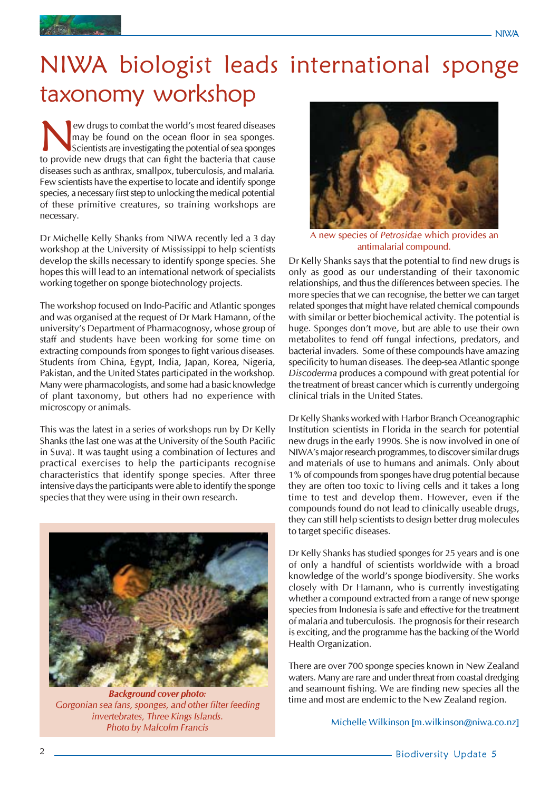

## NIWA biologist leads international sponge taxonomy workshop

EV drugs to combat the world's most feared diseases<br>may be found on the ocean floor in sea sponges.<br>Scientists are investigating the potential of sea sponges<br>to provide new drugs that can fight the bacteria that cause may be found on the ocean floor in sea sponges. Scientists are investigating the potential of sea sponges to provide new drugs that can fight the bacteria that cause diseases such as anthrax, smallpox, tuberculosis, and malaria. Few scientists have the expertise to locate and identify sponge species, a necessary first step to unlocking the medical potential of these primitive creatures, so training workshops are necessary.

Dr Michelle Kelly Shanks from NIWA recently led a 3 day workshop at the University of Mississippi to help scientists develop the skills necessary to identify sponge species. She hopes this will lead to an international network of specialists working together on sponge biotechnology projects.

The workshop focused on Indo-Pacific and Atlantic sponges and was organised at the request of Dr Mark Hamann, of the university's Department of Pharmacognosy, whose group of staff and students have been working for some time on extracting compounds from sponges to fight various diseases. Students from China, Egypt, India, Japan, Korea, Nigeria, Pakistan, and the United States participated in the workshop. Many were pharmacologists, and some had a basic knowledge of plant taxonomy, but others had no experience with microscopy or animals.

This was the latest in a series of workshops run by Dr Kelly Shanks (the last one was at the University of the South Pacific in Suva). It was taught using a combination of lectures and practical exercises to help the participants recognise characteristics that identify sponge species. After three intensive days the participants were able to identify the sponge species that they were using in their own research.



Background cover photo: Gorgonian sea fans, sponges, and other filter feeding invertebrates, Three Kings Islands. Photo by Malcolm Francis



A new species of Petrosidae which provides an antimalarial compound.

Dr Kelly Shanks says that the potential to find new drugs is only as good as our understanding of their taxonomic relationships, and thus the differences between species. The more species that we can recognise, the better we can target related sponges that might have related chemical compounds with similar or better biochemical activity. The potential is huge. Sponges don't move, but are able to use their own metabolites to fend off fungal infections, predators, and bacterial invaders. Some of these compounds have amazing specificity to human diseases. The deep-sea Atlantic sponge Discoderma produces a compound with great potential for the treatment of breast cancer which is currently undergoing clinical trials in the United States.

Dr Kelly Shanks worked with Harbor Branch Oceanographic Institution scientists in Florida in the search for potential new drugs in the early 1990s. She is now involved in one of NIWA's major research programmes, to discover similar drugs and materials of use to humans and animals. Only about 1% of compounds from sponges have drug potential because they are often too toxic to living cells and it takes a long time to test and develop them. However, even if the compounds found do not lead to clinically useable drugs, they can still help scientists to design better drug molecules to target specific diseases.

Dr Kelly Shanks has studied sponges for 25 years and is one of only a handful of scientists worldwide with a broad knowledge of the world's sponge biodiversity. She works closely with Dr Hamann, who is currently investigating whether a compound extracted from a range of new sponge species from Indonesia is safe and effective for the treatment of malaria and tuberculosis. The prognosis for their research is exciting, and the programme has the backing of the World Health Organization.

There are over 700 sponge species known in New Zealand waters. Many are rare and under threat from coastal dredging and seamount fishing. We are finding new species all the time and most are endemic to the New Zealand region.

Michelle Wilkinson [m.wilkinson@niwa.co.nz]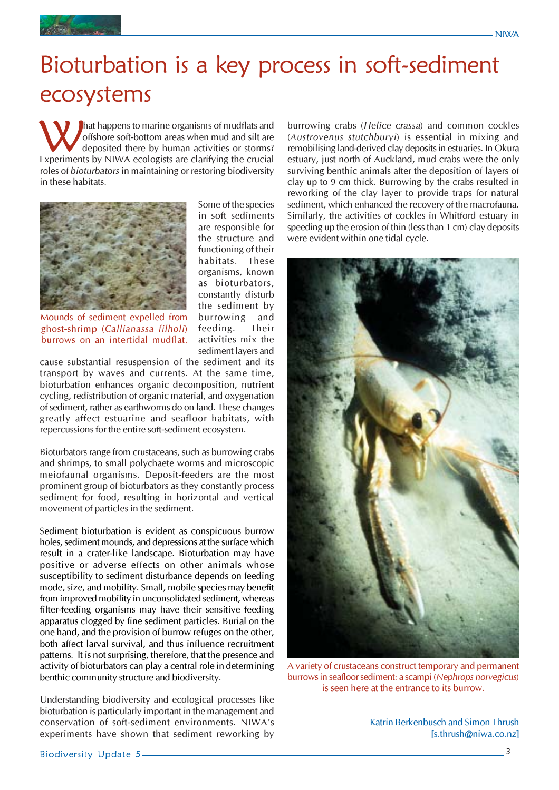



## Bioturbation is a key process in soft-sediment ecosystems

What happens to marine organisms of mudflats and<br>offshore soft-bottom areas when mud and silt are<br>deposited there by human activities or storms?<br>Experiments by NIWA ecologists are clarifying the crucial offshore soft-bottom areas when mud and silt are deposited there by human activities or storms? Experiments by NIWA ecologists are clarifying the crucial roles of bioturbators in maintaining or restoring biodiversity in these habitats.



Mounds of sediment expelled from ghost-shrimp (Callianassa filholi) burrows on an intertidal mudflat.

Some of the species in soft sediments are responsible for the structure and functioning of their habitats. These organisms, known as bioturbators, constantly disturb the sediment by burrowing and<br>feeding. Their feeding. activities mix the sediment layers and

cause substantial resuspension of the sediment and its transport by waves and currents. At the same time, bioturbation enhances organic decomposition, nutrient cycling, redistribution of organic material, and oxygenation of sediment, rather as earthworms do on land. These changes greatly affect estuarine and seafloor habitats, with repercussions for the entire soft-sediment ecosystem.

Bioturbators range from crustaceans, such as burrowing crabs and shrimps, to small polychaete worms and microscopic meiofaunal organisms. Deposit-feeders are the most prominent group of bioturbators as they constantly process sediment for food, resulting in horizontal and vertical movement of particles in the sediment.

Sediment bioturbation is evident as conspicuous burrow holes, sediment mounds, and depressions at the surface which result in a crater-like landscape. Bioturbation may have positive or adverse effects on other animals whose susceptibility to sediment disturbance depends on feeding mode, size, and mobility. Small, mobile species may benefit from improved mobility in unconsolidated sediment, whereas filter-feeding organisms may have their sensitive feeding apparatus clogged by fine sediment particles. Burial on the one hand, and the provision of burrow refuges on the other, both affect larval survival, and thus influence recruitment patterns. It is not surprising, therefore, that the presence and activity of bioturbators can play a central role in determining benthic community structure and biodiversity.

Understanding biodiversity and ecological processes like bioturbation is particularly important in the management and conservation of soft-sediment environments. NIWA's experiments have shown that sediment reworking by burrowing crabs (Helice crassa) and common cockles (Austrovenus stutchburyi) is essential in mixing and remobilising land-derived clay deposits in estuaries. In Okura estuary, just north of Auckland, mud crabs were the only surviving benthic animals after the deposition of layers of clay up to 9 cm thick. Burrowing by the crabs resulted in reworking of the clay layer to provide traps for natural sediment, which enhanced the recovery of the macrofauna. Similarly, the activities of cockles in Whitford estuary in speeding up the erosion of thin (less than 1 cm) clay deposits were evident within one tidal cycle.



A variety of crustaceans construct temporary and permanent burrows in seafloor sediment: a scampi (Nephrops norvegicus) is seen here at the entrance to its burrow.

Katrin Berkenbusch and Simon Thrush [s.thrush@niwa.co.nz]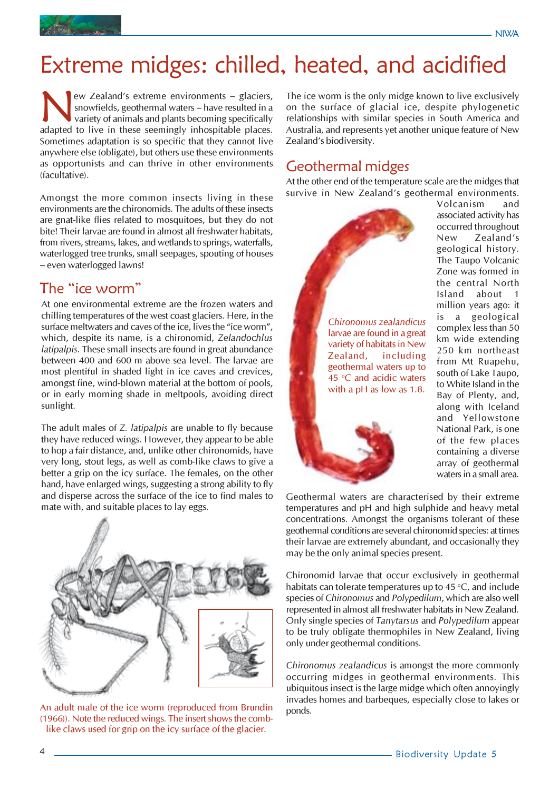

## Extreme midges: chilled, heated, and acidified

New Zealand's extreme environments – glaciers,<br>snowfields, geothermal waters – have resulted in a<br>variety of animals and plants becoming specifically<br>adapted to live in these seemingly inhospitable places. snowfields, geothermal waters – have resulted in a variety of animals and plants becoming specifically adapted to live in these seemingly inhospitable places. Sometimes adaptation is so specific that they cannot live anywhere else (obligate), but others use these environments as opportunists and can thrive in other environments (facultative).

Amongst the more common insects living in these environments are the chironomids. The adults of these insects are gnat-like flies related to mosquitoes, but they do not bite! Their larvae are found in almost all freshwater habitats, from rivers, streams, lakes, and wetlands to springs, waterfalls, waterlogged tree trunks, small seepages, spouting of houses – even waterlogged lawns!

#### The "ice worm"

At one environmental extreme are the frozen waters and chilling temperatures of the west coast glaciers. Here, in the surface meltwaters and caves of the ice, lives the "ice worm", which, despite its name, is a chironomid, Zelandochlus latipalpis. These small insects are found in great abundance between 400 and 600 m above sea level. The larvae are most plentiful in shaded light in ice caves and crevices, amongst fine, wind-blown material at the bottom of pools, or in early morning shade in meltpools, avoiding direct sunlight.

The adult males of Z. latipalpis are unable to fly because they have reduced wings. However, they appear to be able to hop a fair distance, and, unlike other chironomids, have very long, stout legs, as well as comb-like claws to give a better a grip on the icy surface. The females, on the other hand, have enlarged wings, suggesting a strong ability to fly and disperse across the surface of the ice to find males to mate with, and suitable places to lay eggs.



An adult male of the ice worm (reproduced from Brundin (1966)). Note the reduced wings. The insert shows the comblike claws used for grip on the icy surface of the glacier.

The ice worm is the only midge known to live exclusively on the surface of glacial ice, despite phylogenetic relationships with similar species in South America and Australia, and represents yet another unique feature of New Zealand's biodiversity.

#### Geothermal midges

At the other end of the temperature scale are the midges that survive in New Zealand's geothermal environments.



Volcanism and associated activity has occurred throughout New Zealand's geological history. The Taupo Volcanic Zone was formed in the central North Island about 1 million years ago: it is a geological complex less than 50 km wide extending 250 km northeast from Mt Ruapehu, south of Lake Taupo, to White Island in the Bay of Plenty, and, along with Iceland and Yellowstone National Park, is one of the few places containing a diverse array of geothermal waters in a small area.

Geothermal waters are characterised by their extreme temperatures and pH and high sulphide and heavy metal concentrations. Amongst the organisms tolerant of these geothermal conditions are several chironomid species: at times their larvae are extremely abundant, and occasionally they may be the only animal species present.

Chironomid larvae that occur exclusively in geothermal habitats can tolerate temperatures up to 45  $\degree$ C, and include species of Chironomus and Polypedilum, which are also well represented in almost all freshwater habitats in New Zealand. Only single species of Tanytarsus and Polypedilum appear to be truly obligate thermophiles in New Zealand, living only under geothermal conditions.

Chironomus zealandicus is amongst the more commonly occurring midges in geothermal environments. This ubiquitous insect is the large midge which often annoyingly invades homes and barbeques, especially close to lakes or ponds.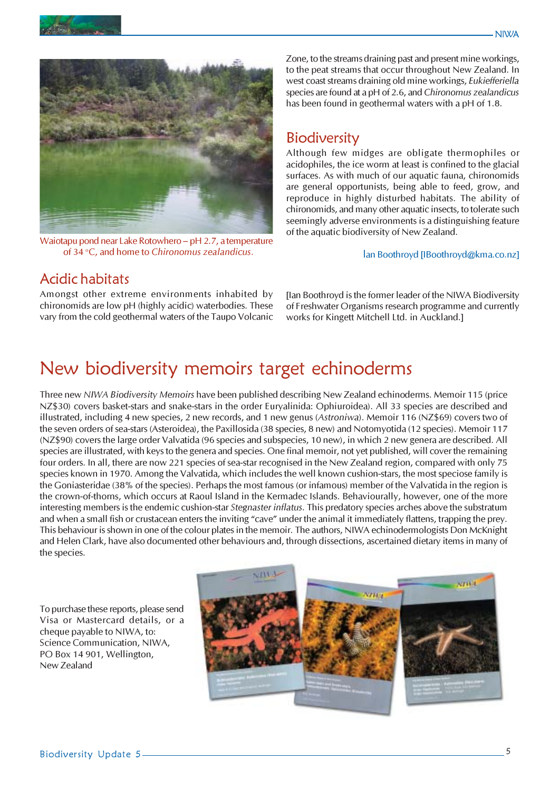

Waiotapu pond near Lake Rotowhero – pH 2.7, a temperature of 34 °C, and home to Chironomus zealandicus.

Zone, to the streams draining past and present mine workings, to the peat streams that occur throughout New Zealand. In west coast streams draining old mine workings, Eukiefferiella species are found at a pH of 2.6, and Chironomus zealandicus has been found in geothermal waters with a pH of 1.8.

#### **Biodiversity**

Although few midges are obligate thermophiles or acidophiles, the ice worm at least is confined to the glacial surfaces. As with much of our aquatic fauna, chironomids are general opportunists, being able to feed, grow, and reproduce in highly disturbed habitats. The ability of chironomids, and many other aquatic insects, to tolerate such seemingly adverse environments is a distinguishing feature of the aquatic biodiversity of New Zealand.

#### *I*an Boothroyd [IBoothroyd@kma.co.nz]

#### Acidic habitats

Amongst other extreme environments inhabited by chironomids are low pH (highly acidic) waterbodies. These vary from the cold geothermal waters of the Taupo Volcanic [Ian Boothroyd is the former leader of the NIWA Biodiversity of Freshwater Organisms research programme and currently works for Kingett Mitchell Ltd. in Auckland.]

### New biodiversity memoirs target echinoderms

Three new NIWA Biodiversity Memoirs have been published describing New Zealand echinoderms. Memoir 115 (price NZ\$30) covers basket-stars and snake-stars in the order Euryalinida: Ophiuroidea). All 33 species are described and illustrated, including 4 new species, 2 new records, and 1 new genus (Astroniwa). Memoir 116 (NZ\$69) covers two of the seven orders of sea-stars (Asteroidea), the Paxillosida (38 species, 8 new) and Notomyotida (12 species). Memoir 117 (NZ\$90) covers the large order Valvatida (96 species and subspecies, 10 new), in which 2 new genera are described. All species are illustrated, with keys to the genera and species. One final memoir, not yet published, will cover the remaining four orders. In all, there are now 221 species of sea-star recognised in the New Zealand region, compared with only 75 species known in 1970. Among the Valvatida, which includes the well known cushion-stars, the most speciose family is the Goniasteridae (38% of the species). Perhaps the most famous (or infamous) member of the Valvatida in the region is the crown-of-thorns, which occurs at Raoul Island in the Kermadec Islands. Behaviourally, however, one of the more interesting members is the endemic cushion-star Stegnaster inflatus. This predatory species arches above the substratum and when a small fish or crustacean enters the inviting "cave" under the animal it immediately flattens, trapping the prey. This behaviour is shown in one of the colour plates in the memoir. The authors, NIWA echinodermologists Don McKnight and Helen Clark, have also documented other behaviours and, through dissections, ascertained dietary items in many of the species.

To purchase these reports, please send Visa or Mastercard details, or a cheque payable to NIWA, to: Science Communication, NIWA, PO Box 14 901, Wellington, New Zealand

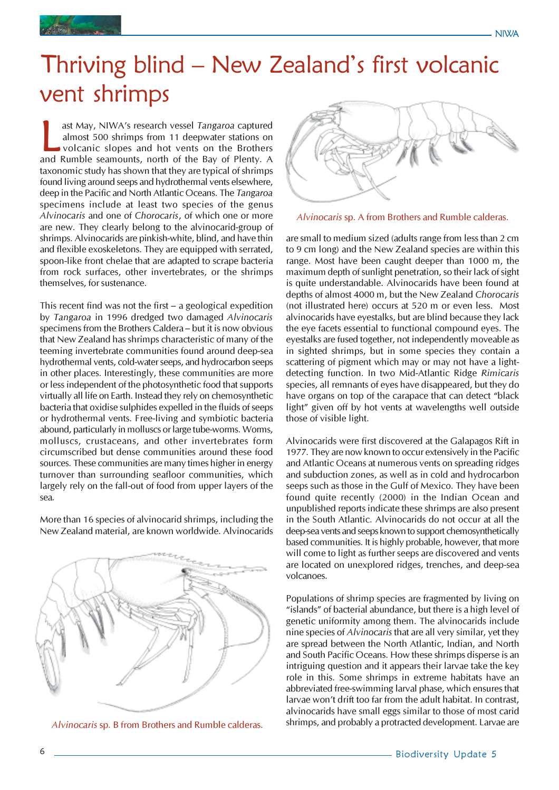

## Thriving blind – New Zealand's first volcanic vent shrimps

ast May, NIWA's research vessel Tangaroa captured<br>almost 500 shrimps from 11 deepwater stations on<br>volcanic slopes and hot vents on the Brothers<br>and Rumble seamounts, north of the Bay of Plenty. A ast May, NIWA's research vessel Tangaroa captured almost 500 shrimps from 11 deepwater stations on volcanic slopes and hot vents on the Brothers taxonomic study has shown that they are typical of shrimps found living around seeps and hydrothermal vents elsewhere, deep in the Pacific and North Atlantic Oceans. The Tangaroa specimens include at least two species of the genus Alvinocaris and one of Chorocaris, of which one or more are new. They clearly belong to the alvinocarid-group of shrimps. Alvinocarids are pinkish-white, blind, and have thin and flexible exoskeletons. They are equipped with serrated, spoon-like front chelae that are adapted to scrape bacteria from rock surfaces, other invertebrates, or the shrimps themselves, for sustenance.

This recent find was not the first – a geological expedition by Tangaroa in 1996 dredged two damaged Alvinocaris specimens from the Brothers Caldera – but it is now obvious that New Zealand has shrimps characteristic of many of the teeming invertebrate communities found around deep-sea hydrothermal vents, cold-water seeps, and hydrocarbon seeps in other places. Interestingly, these communities are more or less independent of the photosynthetic food that supports virtually all life on Earth. Instead they rely on chemosynthetic bacteria that oxidise sulphides expelled in the fluids of seeps or hydrothermal vents. Free-living and symbiotic bacteria abound, particularly in molluscs or large tube-worms. Worms, molluscs, crustaceans, and other invertebrates form circumscribed but dense communities around these food sources. These communities are many times higher in energy turnover than surrounding seafloor communities, which largely rely on the fall-out of food from upper layers of the sea.

More than 16 species of alvinocarid shrimps, including the New Zealand material, are known worldwide. Alvinocarids







Alvinocaris sp. A from Brothers and Rumble calderas.

are small to medium sized (adults range from less than 2 cm to 9 cm long) and the New Zealand species are within this range. Most have been caught deeper than 1000 m, the maximum depth of sunlight penetration, so their lack of sight is quite understandable. Alvinocarids have been found at depths of almost 4000 m, but the New Zealand Chorocaris (not illustrated here) occurs at 520 m or even less. Most alvinocarids have eyestalks, but are blind because they lack the eye facets essential to functional compound eyes. The eyestalks are fused together, not independently moveable as in sighted shrimps, but in some species they contain a scattering of pigment which may or may not have a lightdetecting function. In two Mid-Atlantic Ridge Rimicaris species, all remnants of eyes have disappeared, but they do have organs on top of the carapace that can detect "black light" given off by hot vents at wavelengths well outside those of visible light.

Alvinocarids were first discovered at the Galapagos Rift in 1977. They are now known to occur extensively in the Pacific and Atlantic Oceans at numerous vents on spreading ridges and subduction zones, as well as in cold and hydrocarbon seeps such as those in the Gulf of Mexico. They have been found quite recently (2000) in the Indian Ocean and unpublished reports indicate these shrimps are also present in the South Atlantic. Alvinocarids do not occur at all the deep-sea vents and seeps known to support chemosynthetically based communities. It is highly probable, however, that more will come to light as further seeps are discovered and vents are located on unexplored ridges, trenches, and deep-sea volcanoes.

Populations of shrimp species are fragmented by living on "islands" of bacterial abundance, but there is a high level of genetic uniformity among them. The alvinocarids include nine species of Alvinocaris that are all very similar, yet they are spread between the North Atlantic, Indian, and North and South Pacific Oceans. How these shrimps disperse is an intriguing question and it appears their larvae take the key role in this. Some shrimps in extreme habitats have an abbreviated free-swimming larval phase, which ensures that larvae won't drift too far from the adult habitat. In contrast, alvinocarids have small eggs similar to those of most carid Alvinocaris sp. B from Brothers and Rumble calderas. Shrimps, and probably a protracted development. Larvae are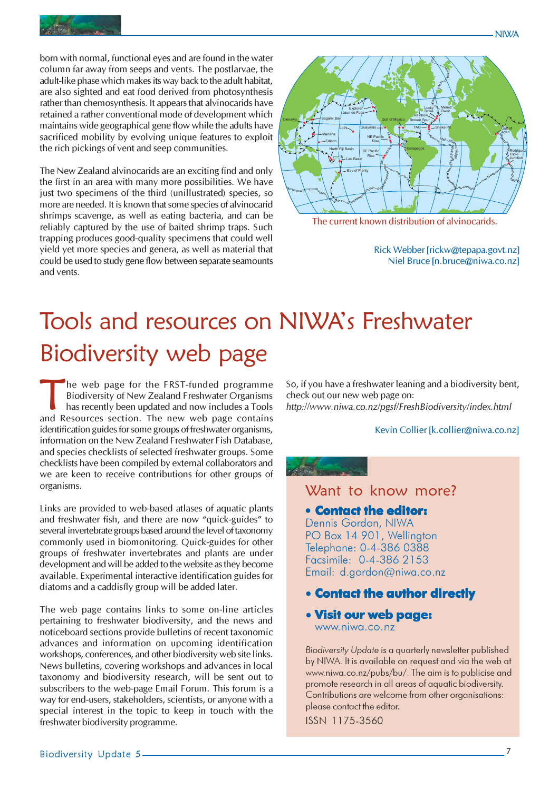

born with normal, functional eyes and are found in the water column far away from seeps and vents. The postlarvae, the adult-like phase which makes its way back to the adult habitat, are also sighted and eat food derived from photosynthesis rather than chemosynthesis. It appears that alvinocarids have retained a rather conventional mode of development which maintains wide geographical gene flow while the adults have sacrificed mobility by evolving unique features to exploit the rich pickings of vent and seep communities.

The New Zealand alvinocarids are an exciting find and only the first in an area with many more possibilities. We have just two specimens of the third (unillustrated) species, so more are needed. It is known that some species of alvinocarid shrimps scavenge, as well as eating bacteria, and can be reliably captured by the use of baited shrimp traps. Such trapping produces good-quality specimens that could well yield yet more species and genera, as well as material that could be used to study gene flow between separate seamounts and vents.



The current known distribution of alvinocarids.

Rick Webber [rickw@tepapa.govt.nz] Niel Bruce [n.bruce@niwa.co.nz]

NIWA

## Tools and resources on NIWA's Freshwater Biodiversity web page

The web page for the FRST-funded programme Biodiversity of New Zealand Freshwater Organisms has recently been updated and now includes a Tools and Resources section. The new web page contains identification guides for some groups of freshwater organisms, information on the New Zealand Freshwater Fish Database, and species checklists of selected freshwater groups. Some checklists have been compiled by external collaborators and we are keen to receive contributions for other groups of organisms.

Links are provided to web-based atlases of aquatic plants and freshwater fish, and there are now "quick-guides" to several invertebrate groups based around the level of taxonomy commonly used in biomonitoring. Quick-guides for other groups of freshwater invertebrates and plants are under development and will be added to the website as they become available. Experimental interactive identification guides for diatoms and a caddisfly group will be added later.

The web page contains links to some on-line articles pertaining to freshwater biodiversity, and the news and noticeboard sections provide bulletins of recent taxonomic advances and information on upcoming identification workshops, conferences, and other biodiversity web site links. News bulletins, covering workshops and advances in local taxonomy and biodiversity research, will be sent out to subscribers to the web-page Email Forum. This forum is a way for end-users, stakeholders, scientists, or anyone with a special interest in the topic to keep in touch with the freshwater biodiversity programme.

So, if you have a freshwater leaning and a biodiversity bent, check out our new web page on: http://www.niwa.co.nz/pgsf/FreshBiodiversity/index.html

#### Kevin Collier [k.collier@niwa.co.nz]

#### Want to know more?

**• Contact the editor:** Dennis Gordon, NIWA PO Box 14 901, Wellington Telephone: 0-4-386 0388 Facsimile: 0-4-386 2153 Email: d.gordon@niwa.co.nz

- Contact the author directly
- Visit our web page: www.niwa.co.nz

Biodiversity Update is a quarterly newsletter published by NIWA. It is available on request and via the web at www.niwa.co.nz/pubs/bu/. The aim is to publicise and promote research in all areas of aquatic biodiversity. Contributions are welcome from other organisations: please contact the editor. ISSN 1175-3560